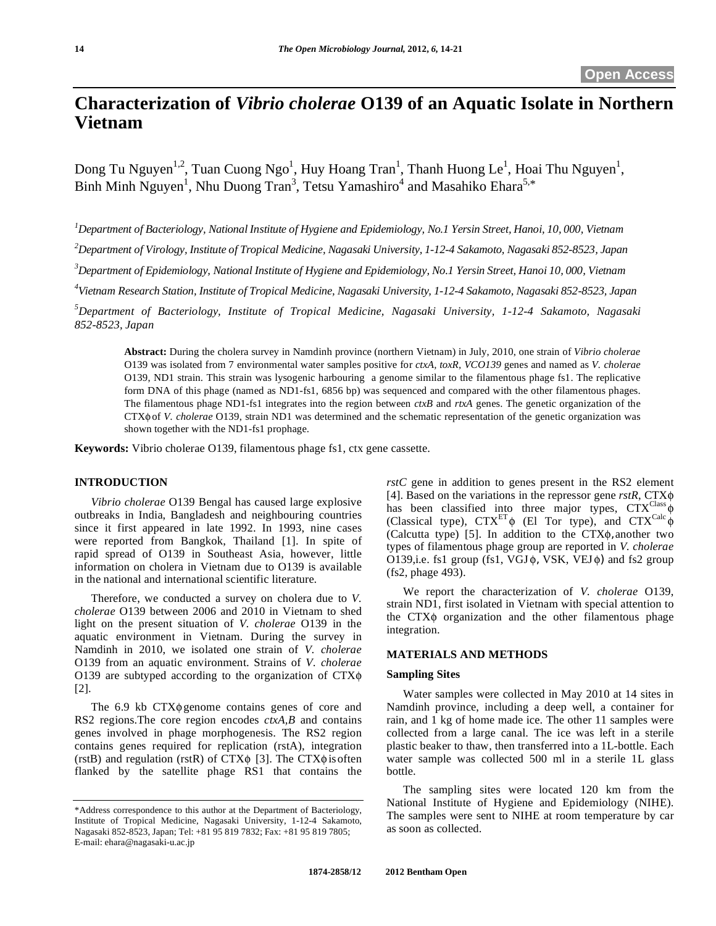# **Characterization of** *Vibrio cholerae* **O139 of an Aquatic Isolate in Northern Vietnam**

Dong Tu Nguyen<sup>1,2</sup>, Tuan Cuong Ngo<sup>1</sup>, Huy Hoang Tran<sup>1</sup>, Thanh Huong Le<sup>1</sup>, Hoai Thu Nguyen<sup>1</sup>, Binh Minh Nguyen<sup>1</sup>, Nhu Duong Tran<sup>3</sup>, Tetsu Yamashiro<sup>4</sup> and Masahiko Ehara<sup>5,\*</sup>

*1 Department of Bacteriology, National Institute of Hygiene and Epidemiology, No.1 Yersin Street, Hanoi, 10, 000, Vietnam* 

*2 Department of Virology, Institute of Tropical Medicine, Nagasaki University, 1-12-4 Sakamoto, Nagasaki 852-8523, Japan* 

<sup>3</sup>Department of Epidemiology, National Institute of Hygiene and Epidemiology, No.1 Yersin Street, Hanoi 10, 000, Vietnam

*4 Vietnam Research Station, Institute of Tropical Medicine, Nagasaki University, 1-12-4 Sakamoto, Nagasaki 852-8523, Japan* 

*5 Department of Bacteriology, Institute of Tropical Medicine, Nagasaki University, 1-12-4 Sakamoto, Nagasaki 852-8523, Japan* 

**Abstract:** During the cholera survey in Namdinh province (northern Vietnam) in July, 2010, one strain of *Vibrio cholerae* O139 was isolated from 7 environmental water samples positive for *ctxA, toxR, VCO139* genes and named as *V. cholerae*  O139, ND1 strain. This strain was lysogenic harbouring a genome similar to the filamentous phage fs1. The replicative form DNA of this phage (named as ND1-fs1, 6856 bp) was sequenced and compared with the other filamentous phages. The filamentous phage ND1-fs1 integrates into the region between *ctxB* and *rtxA* genes. The genetic organization of the CTX $\phi$  of *V. cholerae* O139, strain ND1 was determined and the schematic representation of the genetic organization was shown together with the ND1-fs1 prophage.

**Keywords:** Vibrio cholerae O139, filamentous phage fs1, ctx gene cassette.

# **INTRODUCTION**

*Vibrio cholerae* O139 Bengal has caused large explosive outbreaks in India, Bangladesh and neighbouring countries since it first appeared in late 1992. In 1993, nine cases were reported from Bangkok, Thailand [1]. In spite of rapid spread of O139 in Southeast Asia, however, little information on cholera in Vietnam due to O139 is available in the national and international scientific literature.

 Therefore, we conducted a survey on cholera due to *V. cholerae* O139 between 2006 and 2010 in Vietnam to shed light on the present situation of *V. cholerae* O139 in the aquatic environment in Vietnam. During the survey in Namdinh in 2010, we isolated one strain of *V. cholerae* O139 from an aquatic environment. Strains of *V. cholerae*  O139 are subtyped according to the organization of  $CTX\phi$ [2].

The  $6.9$  kb  $CTX\phi$  genome contains genes of core and RS2 regions.The core region encodes *ctxA,B* and contains genes involved in phage morphogenesis. The RS2 region contains genes required for replication (rstA), integration (rstB) and regulation (rstR) of CTX $\phi$  [3]. The CTX $\phi$  is often flanked by the satellite phage RS1 that contains the

*rstC* gene in addition to genes present in the RS2 element [4]. Based on the variations in the repressor gene *rstR*, CTX has been classified into three major types,  $CTX^{Class} \phi$ (Classical type),  $CTX^{ET} \phi$  (El Tor type), and  $CTX^{Calc} \phi$ (Calcutta type) [5]. In addition to the  $CTX\phi$ , another two types of filamentous phage group are reported in *V. cholerae* O139,i.e. fs1 group (fs1, VGJ $\phi$ , VSK, VEJ $\phi$ ) and fs2 group (fs2, phage 493).

 We report the characterization of *V. cholerae* O139, strain ND1, first isolated in Vietnam with special attention to the  $CTX\phi$  organization and the other filamentous phage integration.

# **MATERIALS AND METHODS**

## **Sampling Sites**

 Water samples were collected in May 2010 at 14 sites in Namdinh province, including a deep well, a container for rain, and 1 kg of home made ice. The other 11 samples were collected from a large canal. The ice was left in a sterile plastic beaker to thaw, then transferred into a 1L-bottle. Each water sample was collected 500 ml in a sterile 1L glass bottle.

 The sampling sites were located 120 km from the National Institute of Hygiene and Epidemiology (NIHE). The samples were sent to NIHE at room temperature by car as soon as collected.

<sup>\*</sup>Address correspondence to this author at the Department of Bacteriology, Institute of Tropical Medicine, Nagasaki University, 1-12-4 Sakamoto, Nagasaki 852-8523, Japan; Tel: +81 95 819 7832; Fax: +81 95 819 7805; E-mail: ehara@nagasaki-u.ac.jp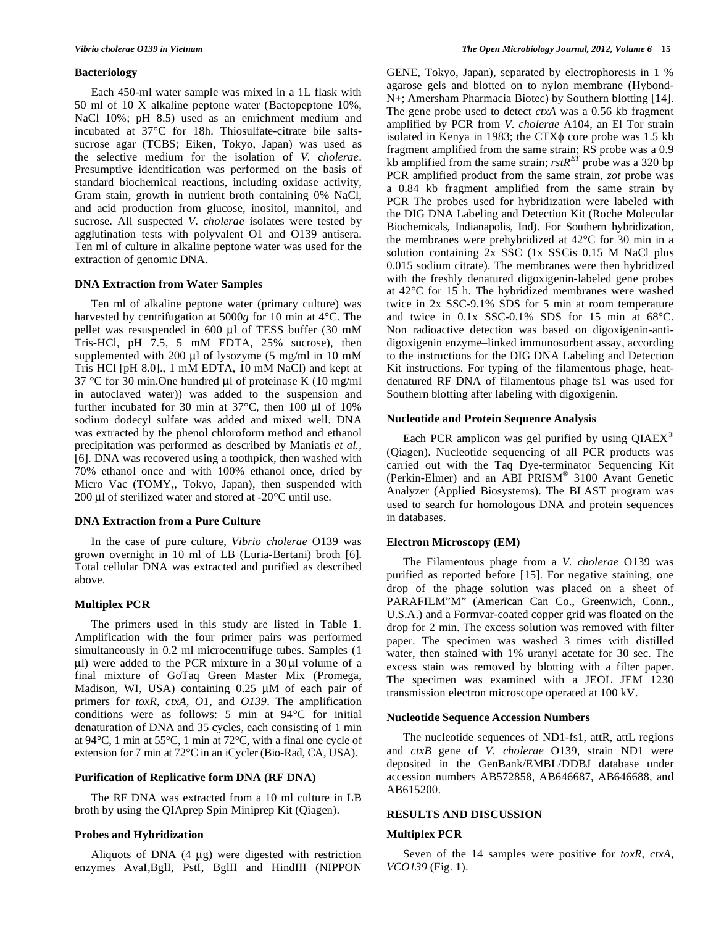## **Bacteriology**

 Each 450-ml water sample was mixed in a 1L flask with 50 ml of 10 X alkaline peptone water (Bactopeptone 10%, NaCl 10%; pH 8.5) used as an enrichment medium and incubated at 37°C for 18h. Thiosulfate-citrate bile saltssucrose agar (TCBS; Eiken, Tokyo, Japan) was used as the selective medium for the isolation of *V. cholerae*. Presumptive identification was performed on the basis of standard biochemical reactions, including oxidase activity, Gram stain, growth in nutrient broth containing 0% NaCl, and acid production from glucose, inositol, mannitol, and sucrose. All suspected *V. cholerae* isolates were tested by agglutination tests with polyvalent O1 and O139 antisera. Ten ml of culture in alkaline peptone water was used for the extraction of genomic DNA.

## **DNA Extraction from Water Samples**

Ten ml of alkaline peptone water (primary culture) was harvested by centrifugation at 5000*g* for 10 min at 4°C. The pellet was resuspended in 600 μl of TESS buffer (30 mM Tris-HCl, pH 7.5, 5 mM EDTA, 25% sucrose), then supplemented with 200 μl of lysozyme (5 mg/ml in 10 mM Tris HCl [pH 8.0]., 1 mM EDTA, 10 mM NaCl) and kept at 37 °C for 30 min.One hundred μl of proteinase K (10 mg/ml in autoclaved water)) was added to the suspension and further incubated for 30 min at 37°C, then 100 μl of 10% sodium dodecyl sulfate was added and mixed well. DNA was extracted by the phenol chloroform method and ethanol precipitation was performed as described by Maniatis *et al.,* [6]. DNA was recovered using a toothpick, then washed with 70% ethanol once and with 100% ethanol once, dried by Micro Vac (TOMY,, Tokyo, Japan), then suspended with 200 μl of sterilized water and stored at -20°C until use.

## **DNA Extraction from a Pure Culture**

 In the case of pure culture, *Vibrio cholerae* O139 was grown overnight in 10 ml of LB (Luria-Bertani) broth [6]. Total cellular DNA was extracted and purified as described above.

## **Multiplex PCR**

 The primers used in this study are listed in Table **1**. Amplification with the four primer pairs was performed simultaneously in 0.2 ml microcentrifuge tubes. Samples (1 μl) were added to the PCR mixture in a 30μl volume of a final mixture of GoTaq Green Master Mix (Promega, Madison, WI, USA) containing 0.25 μM of each pair of primers for *toxR, ctxA, O1,* and *O139*. The amplification conditions were as follows: 5 min at 94°C for initial denaturation of DNA and 35 cycles, each consisting of 1 min at 94°C, 1 min at 55°C, 1 min at 72°C, with a final one cycle of extension for 7 min at 72°C in an iCycler (Bio-Rad, CA, USA).

## **Purification of Replicative form DNA (RF DNA)**

The RF DNA was extracted from a 10 ml culture in LB broth by using the QIAprep Spin Miniprep Kit (Qiagen).

# **Probes and Hybridization**

Aliquots of DNA (4 μg) were digested with restriction enzymes AvaI,BglI, PstI, BglII and HindIII (NIPPON GENE, Tokyo, Japan), separated by electrophoresis in 1 % agarose gels and blotted on to nylon membrane (Hybond-N+; Amersham Pharmacia Biotec) by Southern blotting [14]. The gene probe used to detect *ctxA* was a 0.56 kb fragment amplified by PCR from *V. cholerae* A104, an El Tor strain isolated in Kenya in 1983; the CTX $\phi$  core probe was 1.5 kb fragment amplified from the same strain; RS probe was a 0.9 kb amplified from the same strain;  $rstR<sup>ET</sup>$  probe was a 320 bp PCR amplified product from the same strain, *zot* probe was a 0.84 kb fragment amplified from the same strain by PCR The probes used for hybridization were labeled with the DIG DNA Labeling and Detection Kit (Roche Molecular Biochemicals, Indianapolis, Ind). For Southern hybridization, the membranes were prehybridized at 42°C for 30 min in a solution containing 2x SSC (1x SSCis 0.15 M NaCl plus 0.015 sodium citrate). The membranes were then hybridized with the freshly denatured digoxigenin-labeled gene probes at 42°C for 15 h. The hybridized membranes were washed twice in 2x SSC-9.1% SDS for 5 min at room temperature and twice in 0.1x SSC-0.1% SDS for 15 min at 68°C. Non radioactive detection was based on digoxigenin-antidigoxigenin enzyme–linked immunosorbent assay, according to the instructions for the DIG DNA Labeling and Detection Kit instructions. For typing of the filamentous phage, heatdenatured RF DNA of filamentous phage fs1 was used for Southern blotting after labeling with digoxigenin.

## **Nucleotide and Protein Sequence Analysis**

Each PCR amplicon was gel purified by using  $QIAEX^{\circledast}$ (Qiagen). Nucleotide sequencing of all PCR products was carried out with the Taq Dye-terminator Sequencing Kit (Perkin-Elmer) and an ABI PRISM® 3100 Avant Genetic Analyzer (Applied Biosystems). The BLAST program was used to search for homologous DNA and protein sequences in databases.

## **Electron Microscopy (EM)**

The Filamentous phage from a *V. cholerae* O139 was purified as reported before [15]. For negative staining, one drop of the phage solution was placed on a sheet of PARAFILM"M" (American Can Co., Greenwich, Conn., U.S.A.) and a Formvar-coated copper grid was floated on the drop for 2 min. The excess solution was removed with filter paper. The specimen was washed 3 times with distilled water, then stained with 1% uranyl acetate for 30 sec. The excess stain was removed by blotting with a filter paper. The specimen was examined with a JEOL JEM 1230 transmission electron microscope operated at 100 kV.

#### **Nucleotide Sequence Accession Numbers**

The nucleotide sequences of ND1-fs1, attR, attL regions and *ctxB* gene of *V. cholerae* O139, strain ND1 were deposited in the GenBank/EMBL/DDBJ database under accession numbers AB572858, AB646687, AB646688, and AB615200.

## **RESULTS AND DISCUSSION**

## **Multiplex PCR**

Seven of the 14 samples were positive for *toxR*, *ctxA*, *VCO139* (Fig. **1**).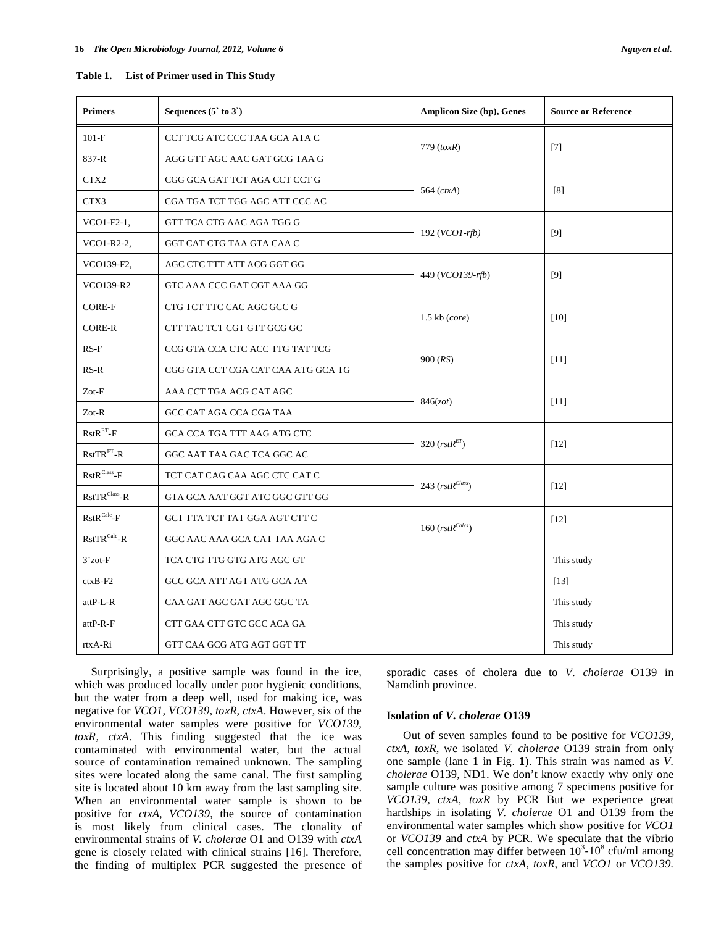| <b>Primers</b>                                     | Sequences $(5 \text{ to } 3)$      | <b>Amplicon Size (bp), Genes</b> | <b>Source or Reference</b> |
|----------------------------------------------------|------------------------------------|----------------------------------|----------------------------|
| $101-F$                                            | CCT TCG ATC CCC TAA GCA ATA C      | $779$ (toxR)                     | $[7]$                      |
| 837-R                                              | AGG GTT AGC AAC GAT GCG TAA G      |                                  |                            |
| CTX <sub>2</sub>                                   | CGG GCA GAT TCT AGA CCT CCT G      | 564 $(ctxA)$                     | [8]                        |
| CTX3                                               | CGA TGA TCT TGG AGC ATT CCC AC     |                                  |                            |
| $VCO1-F2-1$ ,                                      | GTT TCA CTG AAC AGA TGG G          | $192 (VCO1-rfb)$                 | [9]                        |
| VCO1-R2-2,                                         | GGT CAT CTG TAA GTA CAA C          |                                  |                            |
| VCO139-F2,                                         | AGC CTC TTT ATT ACG GGT GG         | 449 (VCO139-rfb)                 | [9]                        |
| VCO139-R2                                          | GTC AAA CCC GAT CGT AAA GG         |                                  |                            |
| <b>CORE-F</b>                                      | CTG TCT TTC CAC AGC GCC G          | $1.5$ kb $(core)$                | [10]                       |
| <b>CORE-R</b>                                      | CTT TAC TCT CGT GTT GCG GC         |                                  |                            |
| $RS-F$                                             | CCG GTA CCA CTC ACC TTG TAT TCG    | 900 (RS)                         | [11]                       |
| $RS-R$                                             | CGG GTA CCT CGA CAT CAA ATG GCA TG |                                  |                            |
| Zot-F                                              | AAA CCT TGA ACG CAT AGC            | 846(zot)                         | [11]                       |
| $Zot-R$                                            | GCC CAT AGA CCA CGA TAA            |                                  |                            |
| $RstRET-F$                                         | GCA CCA TGA TTT AAG ATG CTC        | 320 $(rstRET)$                   | $[12]$                     |
| $RstTRET-R$                                        | GGC AAT TAA GAC TCA GGC AC         |                                  |                            |
| $\mathbf{RstR}^{\mathbf{Class}}\text{-}\mathbf{F}$ | TCT CAT CAG CAA AGC CTC CAT C      | 243 $(rstR^{Class})$             | [12]                       |
| $RstTRClass - R$                                   | GTA GCA AAT GGT ATC GGC GTT GG     |                                  |                            |
| $RstR^{Calc}$ -F                                   | GCT TTA TCT TAT GGA AGT CTT C      | 160 $(rstR^{Calcs})$             | $[12]$                     |
| $RstTRCalc-R$                                      | GGC AAC AAA GCA CAT TAA AGA C      |                                  |                            |
| $3'$ zot- $F$                                      | TCA CTG TTG GTG ATG AGC GT         |                                  | This study                 |
| $ctxB-F2$                                          | GCC GCA ATT AGT ATG GCA AA         |                                  | $[13]$                     |
| attP-L-R                                           | CAA GAT AGC GAT AGC GGC TA         |                                  | This study                 |
| attP-R-F                                           | CTT GAA CTT GTC GCC ACA GA         |                                  | This study                 |
| rtxA-Ri                                            | GTT CAA GCG ATG AGT GGT TT         |                                  | This study                 |

 Surprisingly, a positive sample was found in the ice, which was produced locally under poor hygienic conditions, but the water from a deep well, used for making ice, was negative for *VCO1, VCO139, toxR, ctxA*. However, six of the environmental water samples were positive for *VCO139, toxR, ctxA*. This finding suggested that the ice was contaminated with environmental water, but the actual source of contamination remained unknown. The sampling sites were located along the same canal. The first sampling site is located about 10 km away from the last sampling site. When an environmental water sample is shown to be positive for *ctxA, VCO139*, the source of contamination is most likely from clinical cases. The clonality of environmental strains of *V. cholerae* O1 and O139 with *ctxA* gene is closely related with clinical strains [16]. Therefore, the finding of multiplex PCR suggested the presence of sporadic cases of cholera due to *V. cholerae* O139 in Namdinh province.

## **Isolation of** *V. cholerae* **O139**

Out of seven samples found to be positive for *VCO139, ctxA, toxR*, we isolated *V. cholerae* O139 strain from only one sample (lane 1 in Fig. **1**). This strain was named as *V. cholerae* O139, ND1. We don't know exactly why only one sample culture was positive among 7 specimens positive for *VCO139, ctxA, toxR* by PCR But we experience great hardships in isolating *V. cholerae* O1 and O139 from the environmental water samples which show positive for *VCO1* or *VCO139* and *ctxA* by PCR. We speculate that the vibrio cell concentration may differ between  $10^3$ - $10^8$  cfu/ml among the samples positive for *ctxA, toxR*, and *VCO1* or *VCO139.*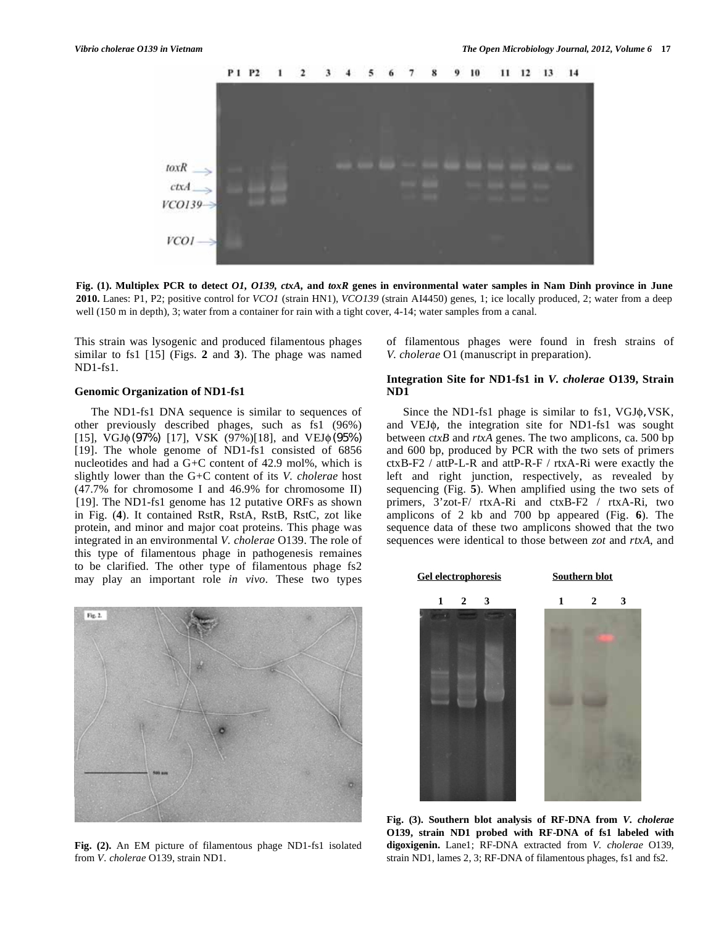

**Fig. (1). Multiplex PCR to detect** *O1, O139, ctxA,* **and** *toxR* **genes in environmental water samples in Nam Dinh province in June 2010.** Lanes: P1, P2; positive control for *VCO1* (strain HN1), *VCO139* (strain AI4450) genes, 1; ice locally produced, 2; water from a deep well (150 m in depth), 3; water from a container for rain with a tight cover, 4-14; water samples from a canal.

This strain was lysogenic and produced filamentous phages similar to fs1 [15] (Figs. **2** and **3**). The phage was named ND1-fs1.

## **Genomic Organization of ND1-fs1**

The ND1-fs1 DNA sequence is similar to sequences of other previously described phages, such as fs1 (96%) [15],  $\overline{V}$ GJ $\phi$ (97%) [17], VSK (97%)[18], and VEJ $\phi$ (95%) [19]. The whole genome of ND1-fs1 consisted of 6856 nucleotides and had a G+C content of 42.9 mol%, which is slightly lower than the G+C content of its *V. cholerae* host (47.7% for chromosome I and 46.9% for chromosome II) [19]. The ND1-fs1 genome has 12 putative ORFs as shown in Fig. (**4**). It contained RstR, RstA, RstB, RstC, zot like protein, and minor and major coat proteins. This phage was integrated in an environmental *V. cholerae* O139. The role of this type of filamentous phage in pathogenesis remaines to be clarified. The other type of filamentous phage fs2 may play an important role *in vivo*. These two types



**Fig. (2).** An EM picture of filamentous phage ND1-fs1 isolated from *V. cholerae* O139, strain ND1.

of filamentous phages were found in fresh strains of *V. cholerae* O1 (manuscript in preparation).

## **Integration Site for ND1-fs1 in** *V. cholerae* **O139, Strain ND1**

Since the ND1-fs1 phage is similar to fs1,  $VGI\phi$ ,  $VSK$ , and VEJ $\phi$ , the integration site for ND1-fs1 was sought between *ctxB* and *rtxA* genes. The two amplicons, ca. 500 bp and 600 bp, produced by PCR with the two sets of primers ctxB-F2 / attP-L-R and attP-R-F / rtxA-Ri were exactly the left and right junction, respectively, as revealed by sequencing (Fig. **5**). When amplified using the two sets of primers, 3'zot-F/ rtxA-Ri and ctxB-F2 / rtxA-Ri, two amplicons of 2 kb and 700 bp appeared (Fig. **6**). The sequence data of these two amplicons showed that the two sequences were identical to those between *zot* and *rtxA*, and



**Fig. (3). Southern blot analysis of RF-DNA from** *V. cholerae* **O139, strain ND1 probed with RF-DNA of fs1 labeled with digoxigenin.** Lane1; RF-DNA extracted from *V. cholerae* O139, strain ND1, lames 2, 3; RF-DNA of filamentous phages, fs1 and fs2.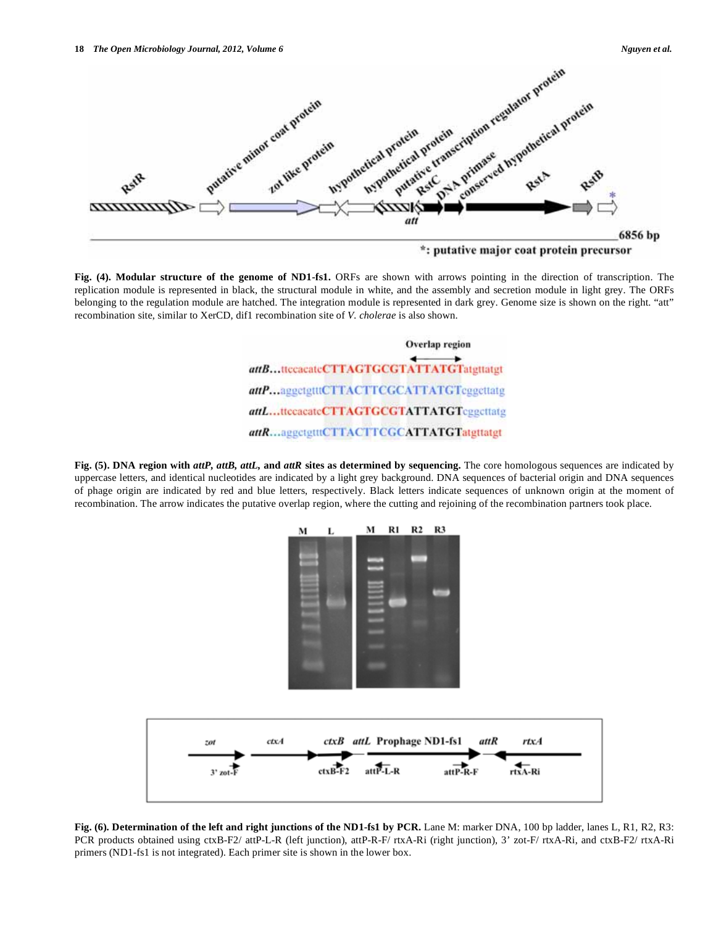

**Fig. (4). Modular structure of the genome of ND1-fs1.** ORFs are shown with arrows pointing in the direction of transcription. The replication module is represented in black, the structural module in white, and the assembly and secretion module in light grey. The ORFs belonging to the regulation module are hatched. The integration module is represented in dark grey. Genome size is shown on the right. "att" recombination site, similar to XerCD, dif1 recombination site of *V. cholerae* is also shown.

Overlap region attB...ttcacateCTTAGTGCGTATTATGTatgttatgt attP...aggctgtttCTTACTTCGCATTATGTcggcttatg attL...ttccacateCTTAGTGCGTATTATGTcggcttatg attR...aggctgtttCTTACTTCGCATTATGTatgttatgt

**Fig. (5). DNA region with** *attP, attB, attL,* **and** *attR* **sites as determined by sequencing.** The core homologous sequences are indicated by uppercase letters, and identical nucleotides are indicated by a light grey background. DNA sequences of bacterial origin and DNA sequences of phage origin are indicated by red and blue letters, respectively. Black letters indicate sequences of unknown origin at the moment of recombination. The arrow indicates the putative overlap region, where the cutting and rejoining of the recombination partners took place.



**Fig. (6). Determination of the left and right junctions of the ND1-fs1 by PCR.** Lane M: marker DNA, 100 bp ladder, lanes L, R1, R2, R3: PCR products obtained using ctxB-F2/ attP-L-R (left junction), attP-R-F/ rtxA-Ri (right junction), 3' zot-F/ rtxA-Ri, and ctxB-F2/ rtxA-Ri primers (ND1-fs1 is not integrated). Each primer site is shown in the lower box.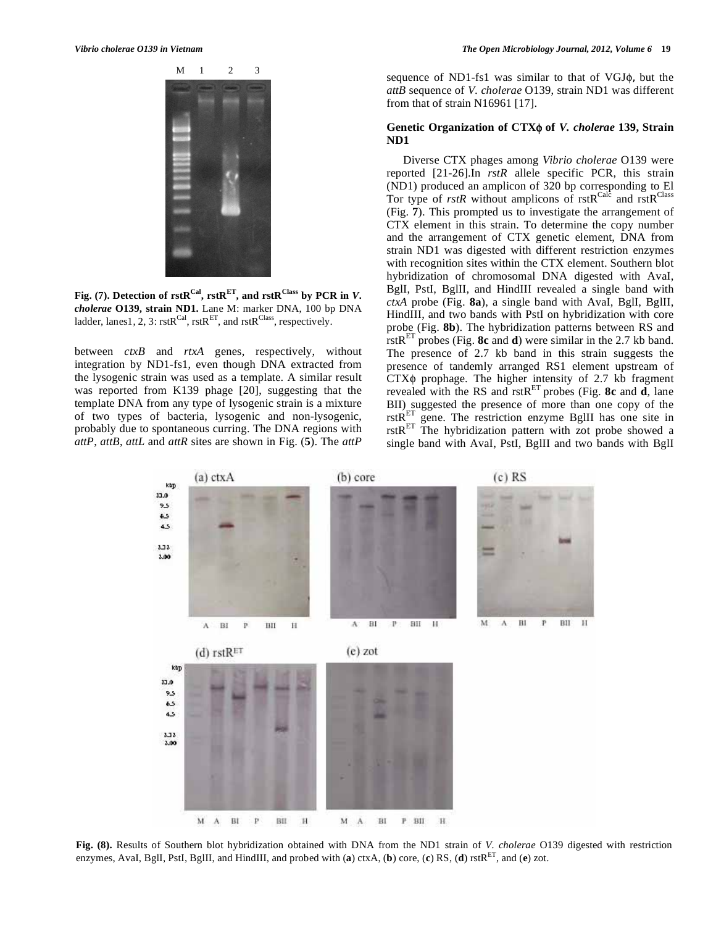

Fig. (7). Detection of  $rstR^{Cal}$ ,  $rstR^{ET}$ , and  $rstR^{Class}$  by PCR in *V*. *cholerae* **O139, strain ND1.** Lane M: marker DNA, 100 bp DNA ladder, lanes1, 2, 3:  $rstR^{Cal}$ ,  $rstR^{ET}$ , and  $rstR^{Class}$ , respectively.

between *ctxB* and *rtxA* genes, respectively, without integration by ND1-fs1, even though DNA extracted from the lysogenic strain was used as a template. A similar result was reported from K139 phage [20], suggesting that the template DNA from any type of lysogenic strain is a mixture of two types of bacteria, lysogenic and non-lysogenic, probably due to spontaneous curring. The DNA regions with *attP*, *attB*, *attL* and *attR* sites are shown in Fig. (**5**). The *attP*  sequence of ND1-fs1 was similar to that of VGJ $\phi$ , but the *attB* sequence of *V. cholerae* O139, strain ND1 was different from that of strain N16961 [17].

# Genetic Organization of CTX $\phi$  of *V. cholerae* 139, Strain **ND1**

Diverse CTX phages among *Vibrio cholerae* O139 were reported [21-26].In *rstR* allele specific PCR, this strain (ND1) produced an amplicon of 320 bp corresponding to El Tor type of *rstR* without amplicons of  $rstR^{Calc}$  and  $rstR^{Class}$ (Fig. **7**). This prompted us to investigate the arrangement of CTX element in this strain. To determine the copy number and the arrangement of CTX genetic element, DNA from strain ND1 was digested with different restriction enzymes with recognition sites within the CTX element. Southern blot hybridization of chromosomal DNA digested with AvaI, BglI, PstI, BglII, and HindIII revealed a single band with *ctxA* probe (Fig. **8a**), a single band with AvaI, BglI, BglII, HindIII, and two bands with PstI on hybridization with core probe (Fig. **8b**). The hybridization patterns between RS and rstRET probes (Fig. **8c** and **d**) were similar in the 2.7 kb band. The presence of 2.7 kb band in this strain suggests the presence of tandemly arranged RS1 element upstream of  $CTX\phi$  prophage. The higher intensity of 2.7 kb fragment revealed with the RS and  $r$ stR<sup>ET</sup> probes (Fig. 8c and  $\overrightarrow{d}$ , lane BII) suggested the presence of more than one copy of the rst $\overrightarrow{R}^{\text{ET}}$  gene. The restriction enzyme BgIII has one site in  $rstR<sup>ET</sup>$  The hybridization pattern with zot probe showed a single band with AvaI, PstI, BglII and two bands with BglI



**Fig. (8).** Results of Southern blot hybridization obtained with DNA from the ND1 strain of *V. cholerae* O139 digested with restriction enzymes, AvaI, BglI, PstI, BglII, and HindIII, and probed with (**a**) ctxA, (**b**) core, (**c**) RS, (**d**) rstRET, and (**e**) zot.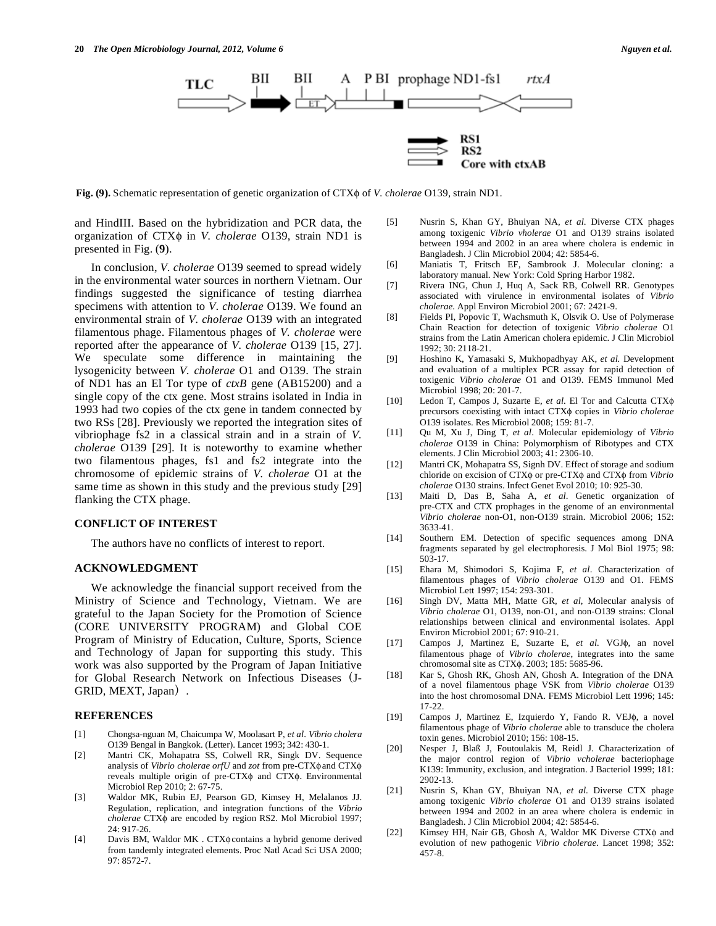

**Fig. (9).** Schematic representation of genetic organization of CTX of *V. cholerae* O139, strain ND1.

and HindIII. Based on the hybridization and PCR data, the organization of CTX $\phi$  in *V. cholerae* O139, strain ND1 is presented in Fig. (**9**).

 In conclusion, *V. cholerae* O139 seemed to spread widely in the environmental water sources in northern Vietnam. Our findings suggested the significance of testing diarrhea specimens with attention to *V. cholerae* O139. We found an environmental strain of *V. cholerae* O139 with an integrated filamentous phage. Filamentous phages of *V. cholerae* were reported after the appearance of *V. cholerae* O139 [15, 27]. We speculate some difference in maintaining the lysogenicity between *V. cholerae* O1 and O139. The strain of ND1 has an El Tor type of *ctxB* gene (AB15200) and a single copy of the ctx gene. Most strains isolated in India in 1993 had two copies of the ctx gene in tandem connected by two RSs [28]. Previously we reported the integration sites of vibriophage fs2 in a classical strain and in a strain of *V. cholerae* O139 [29]. It is noteworthy to examine whether two filamentous phages, fs1 and fs2 integrate into the chromosome of epidemic strains of *V. cholerae* O1 at the same time as shown in this study and the previous study [29] flanking the CTX phage.

#### **CONFLICT OF INTEREST**

The authors have no conflicts of interest to report.

#### **ACKNOWLEDGMENT**

 We acknowledge the financial support received from the Ministry of Science and Technology, Vietnam. We are grateful to the Japan Society for the Promotion of Science (CORE UNIVERSITY PROGRAM) and Global COE Program of Ministry of Education, Culture, Sports, Science and Technology of Japan for supporting this study. This work was also supported by the Program of Japan Initiative for Global Research Network on Infectious Diseases (J-GRID, MEXT, Japan).

#### **REFERENCES**

- [1] Chongsa-nguan M, Chaicumpa W, Moolasart P, *et al*. *Vibrio cholera*  O139 Bengal in Bangkok. (Letter). Lancet 1993; 342: 430-1.
- [2] Mantri CK, Mohapatra SS, Colwell RR, Singk DV. Sequence analysis of *Vibrio cholerae orfU* and *zot* from pre-CTX $\phi$  and CTX $\phi$ reveals multiple origin of pre-CTX $\phi$  and CTX $\phi$ . Environmental Microbiol Rep 2010; 2: 67-75.
- [3] Waldor MK, Rubin EJ, Pearson GD, Kimsey H, Melalanos JJ. Regulation, replication, and integration functions of the *Vibrio cholerae* CTX $\phi$  are encoded by region RS2. Mol Microbiol 1997; 24: 917-26.
- [4] Davis BM, Waldor MK . CTX $\phi$  contains a hybrid genome derived from tandemly integrated elements. Proc Natl Acad Sci USA 2000; 97: 8572-7.

[5] Nusrin S, Khan GY, Bhuiyan NA, *et al*. Diverse CTX phages among toxigenic *Vibrio vholerae* O1 and O139 strains isolated between 1994 and 2002 in an area where cholera is endemic in Bangladesh. J Clin Microbiol 2004; 42: 5854-6.

Core with ctxAB

- [6] Maniatis T, Fritsch EF, Sambrook J. Molecular cloning: a laboratory manual. New York: Cold Spring Harbor 1982.
- [7] Rivera ING, Chun J, Huq A, Sack RB, Colwell RR. Genotypes associated with virulence in environmental isolates of *Vibrio cholerae.* Appl Environ Microbiol 2001; 67: 2421-9.
- [8] Fields PI, Popovic T, Wachsmuth K, Olsvik O. Use of Polymerase Chain Reaction for detection of toxigenic *Vibrio cholerae* O1 strains from the Latin American cholera epidemic. J Clin Microbiol 1992; 30: 2118-21.
- [9] Hoshino K, Yamasaki S, Mukhopadhyay AK, *et al.* Development and evaluation of a multiplex PCR assay for rapid detection of toxigenic *Vibrio cholerae* O1 and O139. FEMS Immunol Med Microbiol 1998; 20: 201-7.
- [10] Ledon T, Campos J, Suzarte E, *et al*. El Tor and Calcutta CTX precursors coexisting with intact CTX $\phi$  copies in *Vibrio cholerae* O139 isolates. Res Microbiol 2008; 159: 81-7.
- [11] Qu M, Xu J, Ding T, *et al*. Molecular epidemiology of *Vibrio cholerae* O139 in China: Polymorphism of Ribotypes and CTX elements. J Clin Microbiol 2003; 41: 2306-10.
- [12] Mantri CK, Mohapatra SS, Signh DV. Effect of storage and sodium chloride on excision of CTX $\phi$  or pre-CTX $\phi$  and CTX $\phi$  from *Vibrio cholerae* O130 strains. Infect Genet Evol 2010; 10: 925-30.
- [13] Maiti D, Das B, Saha A, *et al*. Genetic organization of pre-CTX and CTX prophages in the genome of an environmental *Vibrio cholerae* non-O1, non-O139 strain. Microbiol 2006; 152: 3633-41.
- [14] Southern EM. Detection of specific sequences among DNA fragments separated by gel electrophoresis. J Mol Biol 1975; 98: 503-17.
- [15] Ehara M, Shimodori S, Kojima F, *et al*. Characterization of filamentous phages of *Vibrio cholerae* O139 and O1. FEMS Microbiol Lett 1997; 154: 293-301.
- [16] Singh DV, Matta MH, Matte GR, *et al*, Molecular analysis of *Vibrio cholerae* O1, O139, non-O1, and non-O139 strains: Clonal relationships between clinical and environmental isolates. Appl Environ Microbiol 2001; 67: 910-21.
- [17] Campos J, Martinez E, Suzarte E, et al. VGJ $\phi$ , an novel filamentous phage of *Vibrio cholerae*, integrates into the same chromosomal site as CTX $\phi$ . 2003; 185: 5685-96.
- [18] Kar S, Ghosh RK, Ghosh AN, Ghosh A. Integration of the DNA of a novel filamentous phage VSK from *Vibrio cholerae* O139 into the host chromosomal DNA. FEMS Microbiol Lett 1996; 145: 17-22.
- [19] Campos J, Martinez E, Izquierdo Y, Fando R. VEJ $\phi$ , a novel filamentous phage of *Vibrio cholerae* able to transduce the cholera toxin genes. Microbiol 2010; 156: 108-15.
- [20] Nesper J, Blaß J, Foutoulakis M, Reidl J. Characterization of the major control region of *Vibrio vcholerae* bacteriophage K139: Immunity, exclusion, and integration. J Bacteriol 1999; 181: 2902-13.
- [21] Nusrin S, Khan GY, Bhuiyan NA, *et al*. Diverse CTX phage among toxigenic *Vibrio cholerae* O1 and O139 strains isolated between 1994 and 2002 in an area where cholera is endemic in Bangladesh. J Clin Microbiol 2004; 42: 5854-6.
- [22] Kimsey HH, Nair GB, Ghosh A, Waldor MK Diverse CTX $\phi$  and evolution of new pathogenic *Vibrio cholerae*. Lancet 1998; 352: 457-8.